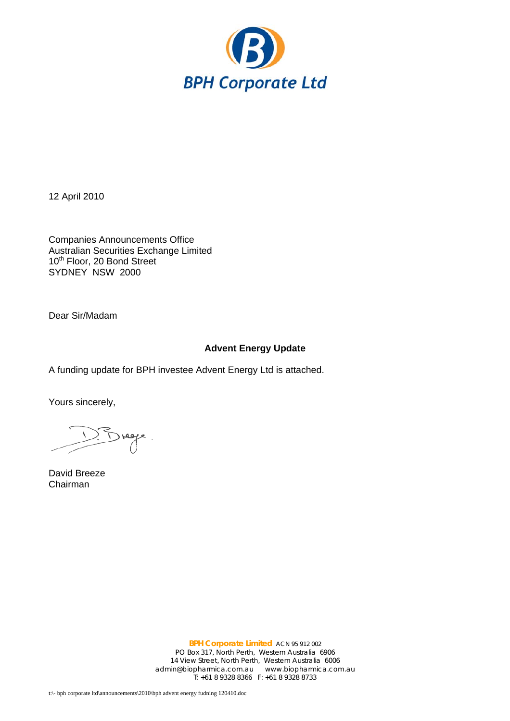

12 April 2010

Companies Announcements Office Australian Securities Exchange Limited 10<sup>th</sup> Floor, 20 Bond Street SYDNEY NSW 2000

Dear Sir/Madam

## **Advent Energy Update**

A funding update for BPH investee Advent Energy Ltd is attached.

Yours sincerely,

Brege.

David Breeze Chairman

**BPH Corporate Limited** ACN 95 912 002 PO Box 317, North Perth, Western Australia 6906 14 View Street, North Perth, Western Australia 6006 admin@biopharmica.com.au www.biopharmica.com.au T: +61 8 9328 8366 F: +61 8 9328 8733